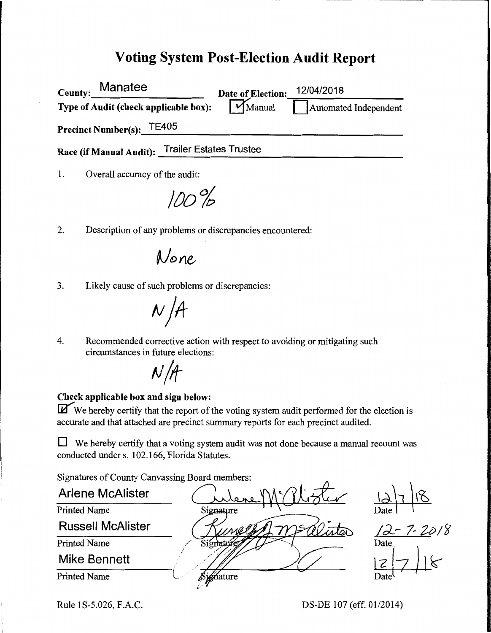# **Voting System Post-Election Audit Report**

| Manatee<br>County:                              | Date of Election:            | 12/04/2018            |
|-------------------------------------------------|------------------------------|-----------------------|
| Type of Audit (check applicable box):           | $\mathsf{W}_{\text{Manual}}$ | Automated Independent |
| Precinct Number(s): TE405                       |                              |                       |
| Race (if Manual Audit): Trailer Estates Trustee |                              |                       |
| Overall accuracy of the audit:                  |                              |                       |

**/OD%** 

2. Description of any problems or discrepancies encountered:

None

3. Likely cause of such problems or discrepancies:

 $N/A$ 

4. Recommended corrective action with respect to avoiding or mitigating such circumstances in future elections:



#### **Check applicable box and sign below:**

**If** We hereby certify that the report of the voting system audit performed for the election is accurate and that attached are precinct summary reports for each precinct audited.

**D** We hereby certify that a voting system audit was not done because a manual recount was conducted under s. 102.166, Florida Statutes.

Signatures of County Canvassing Board members:<br>Arlene McAlister<br>Printed Name Signature Signatures of County Canvassing Board members:<br>Arlene McAlister Culeve McAlister **Russell McAlister**  Printed Name Signat Mike Bennett<br>Printed Name Signature Printed Name \. ..

Rule 1S-5.026, F.A.C. DS-DE 107 (eff. 01/2014)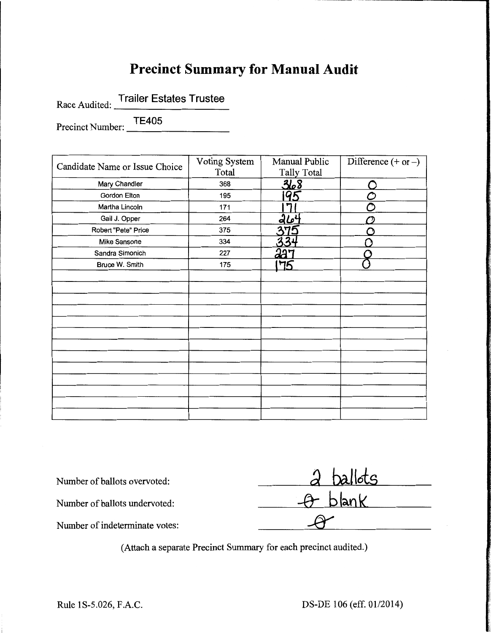# **Precinct Summary for Manual Audit**

Race Audited: Trailer Estates Trustee<br>Precinct Number: <u>TE405</u>

| Candidate Name or Issue Choice | Voting System | Manual Public      | Difference $(+ or -)$ |
|--------------------------------|---------------|--------------------|-----------------------|
|                                | Total         | <b>Tally Total</b> |                       |
| Mary Chandler                  | 368           | 368                |                       |
| Gordon Elton                   | 195           | 95                 |                       |
| Martha Lincoln                 | 171           |                    |                       |
| Gail J. Opper                  | 264           | 264                |                       |
| Robert "Pete" Price            | 375           | 375                |                       |
| Mike Sansone                   | 334           | 3                  |                       |
| Sandra Simonich                | 227           | 227                |                       |
| Bruce W. Smith                 | 175           | 75                 |                       |
|                                |               |                    |                       |
|                                |               |                    |                       |
|                                |               |                    |                       |
|                                |               |                    |                       |
|                                |               |                    |                       |
|                                |               |                    |                       |
|                                |               |                    |                       |
|                                |               |                    |                       |
|                                |               |                    |                       |
|                                |               |                    |                       |
|                                |               |                    |                       |
|                                |               |                    |                       |
|                                |               |                    |                       |

| Number of ballots overvoted:   | $\lambda$ ballots |
|--------------------------------|-------------------|
| Number of ballots undervoted:  | $-A$ blank        |
| Number of indeterminate votes: |                   |

(Attach a separate Precinct Summary for each precinct audited.)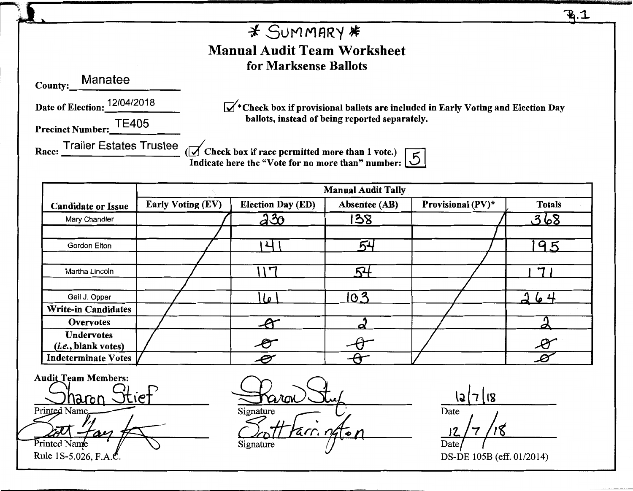$\mathbf{R}$ . $\mathbf{\mathbf{\mathcal{L}}}$  $*$  Summary  $*$ Manual Audit Team Worksheet for Marksense Ballots County: Manatee Date of Election: 12/04/2018  $\mathbb{R}^*$ Check box if provisional ballots are included in Early Voting and Election Day ballots, instead of being reported separately. Precinct Number: TE405 Race:  $\frac{\text{Triangle}}{\text{Value}}$  . Trailer Estates Trustee ( $\frac{1}{\sqrt{}}$  Check box if race permitted more than 1 vote.) Indicate here the "Vote for no more than" number:  $\boxed{5}$ Manual Audit Tally Candidate or Issue | Early Voting (EV) | Election Day (ED) | Absentee (AB) | Provisional (PV)\* | Totals Mary Chandler | / | a 30 | 138 | / | 3 68 I *I*  Gordon Elton I \ l 6.LJ *I* 19 -~ / I Martha Lincoln  $\begin{pmatrix} 1 & 1 & 1 \ 1 & 1 & 1 \end{pmatrix}$  54 /  $\begin{pmatrix} 54 & 1 & 1 \ 1 & 7 \end{pmatrix}$ *I* / Gail J. Opper | / ILe | IC 3 | / | 264 Write-in Candidates  $O$ vervotes *I I* i  $\mathcal{A}$  *I*  $\mathcal{A}$  /  $\Box$  $(i.e., blank votes)$   $\left/$  **P**  $\left/$ Undervotes  $\boldsymbol{\mathcal{B}}$ Indeterminate Votes **Audit Team Members:** 

haron -**Printed Name** Printed Name Rule 1S-5.026, F.A.C

Staron Stup <u>Soft Farr, naton</u> Signature *(/* 

\c2W,i Date  $\frac{1}{2}$  /7 /18 Date/ *(* 

DS-DE 105B (eff. 01/2014)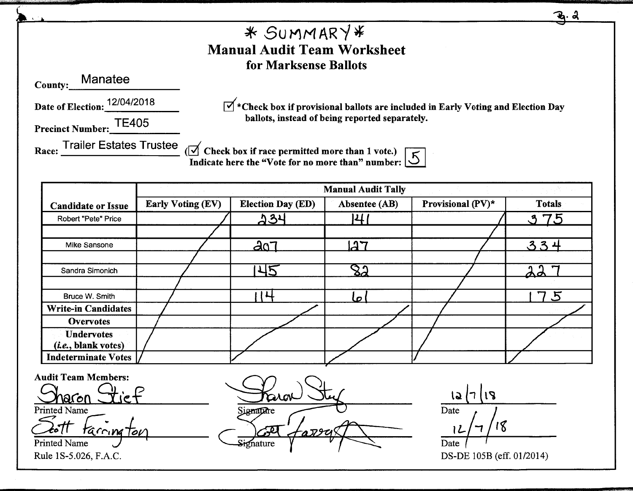<u>. a</u> SUMMAR'/~ Manual Audit Team Worksheet for Marksense Ballots County: Manatee Date of Election: 12/04/2018  $\overrightarrow{v}$  \*Check box if provisional ballots are included in Early Voting and Election Day ballots, instead of being reported separately. Precinct Number: TE405 Race:  $\frac{\text{Triangle}}{\text{Distance}}$  ( $\frac{1}{\sqrt{}}$  Check box if race permitted more than 1 vote.)  $\overline{\text{Indicate here}}$  the "Vote for no more than" number: Manual Audit Tally Candidate or Issue Early Voting (EV) Election Day (ED) Absentee (AB) Provisional (PV)\* Totals Robert "Pete" Price / !>~1.1 14/ *I* '-.~ **7L'5**  / / Mike Sansone **12 | 1201 | 127** | 127 | 128  $.3.3 +$  $\sqrt{2}$  I is a set of  $\sqrt{2}$ Sandra Simonich / I .L.l~ / ~,l 'l  $\sqrt{2}$  /  $\sqrt{2}$  /  $\sqrt{2}$  /  $\sqrt{2}$  /  $\sqrt{2}$  /  $\sqrt{2}$  /  $\sqrt{2}$  /  $\sqrt{2}$  /  $\sqrt{2}$  /  $\sqrt{2}$  /  $\sqrt{2}$  /  $\sqrt{2}$  /  $\sqrt{2}$  /  $\sqrt{2}$  /  $\sqrt{2}$  /  $\sqrt{2}$  /  $\sqrt{2}$  /  $\sqrt{2}$  /  $\sqrt{2}$  /  $\sqrt{2}$  /  $\sqrt{2}$  /  $\sqrt{2}$  / Bruce W. Smith *I* 114 I,, I / 175 **Write-in Candidates** / Overvotes I / / *I* / Undervotes (i.e., blank votes) *I* / / *I* / Indeterminate Votes Audit Team Members: Sharon Stief  $12/7118$ **Di**la Date **Printed Name** Signature Sott Farrington 12 Signature Printed Name Date Rule 1S-5.026, F.A.C. DS-DE 105B (eff. 01/2014)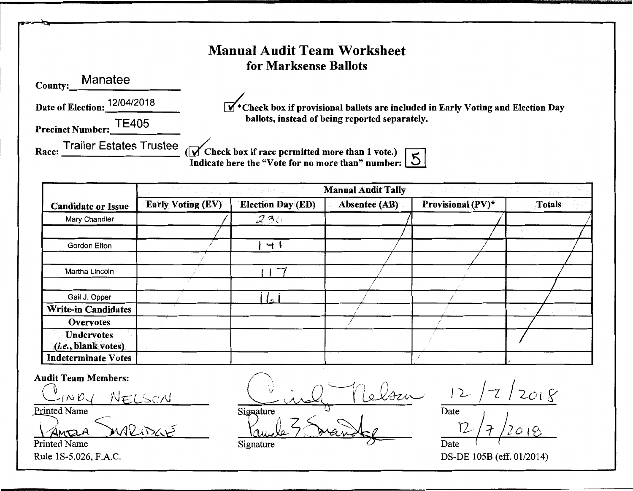## Manual Audit Team Worksheet for Marksense Ballots

County: Manatee

Date of Election: 12/04/2018

Precinct Number: TE405

Race:  $\frac{1}{\sqrt{1-\frac{1}{\sqrt{1-\frac{1}{\sqrt{1-\frac{1}{\sqrt{1-\frac{1}{\sqrt{1-\frac{1}{\sqrt{1-\frac{1}{\sqrt{1-\frac{1}{\sqrt{1-\frac{1}{\sqrt{1-\frac{1}{\sqrt{1-\frac{1}{\sqrt{1-\frac{1}{\sqrt{1-\frac{1}{\sqrt{1-\frac{1}{\sqrt{1-\frac{1}{\sqrt{1-\frac{1}{\sqrt{1-\frac{1}{\sqrt{1-\frac{1}{\sqrt{1-\frac{1}{\sqrt{1-\frac{1}{\sqrt{1-\frac{1}{\sqrt{1-\frac{1}{\sqrt{1-\frac{1}{\sqrt{1-\frac{1}{\sqrt$ 

 $\mathbf{W}^*$  Check box if provisional ballots are included in Early Voting and Election Day ballots, instead of being reported separately.

Indicate here the "Vote for no more than" number:  $\boxed{5}$ 

|                                          | 화전 사진 사람                 |                          | <b>Manual Audit Tally</b> |                   |               |
|------------------------------------------|--------------------------|--------------------------|---------------------------|-------------------|---------------|
| <b>Candidate or Issue</b>                | <b>Early Voting (EV)</b> | <b>Election Day (ED)</b> | <b>Absentee (AB)</b>      | Provisional (PV)* | <b>Totals</b> |
| Mary Chandler                            |                          | 230                      |                           |                   |               |
|                                          |                          |                          |                           |                   |               |
| Gordon Elton                             |                          | $+1$                     |                           |                   |               |
|                                          |                          |                          |                           |                   |               |
| Martha Lincoln                           |                          | ∽                        |                           |                   |               |
|                                          |                          |                          |                           |                   |               |
| Gail J. Opper                            |                          |                          |                           |                   |               |
| <b>Write-in Candidates</b>               |                          |                          |                           |                   |               |
| <b>Overvotes</b>                         |                          |                          |                           |                   |               |
| <b>Undervotes</b><br>(i.e., blank votes) |                          |                          |                           |                   |               |
| <b>Indeterminate Votes</b>               |                          |                          |                           |                   |               |

Audit Team Members:  $\sum_{i=1}^n$ ~1 *N* ta~ )\J£L~cA1 Printed Name

 $4$ MEIA  $W$ Printed Name

 $\diagup$ elour Signature

Vande 5 marsh Signature

 $12/7/2018$ 

Date Dare / *}*  r2/ 1" *Jo* 1'6 Date

Rule 1S-5.026, F.A.C. DS-DE 105B (eff. 01/2014)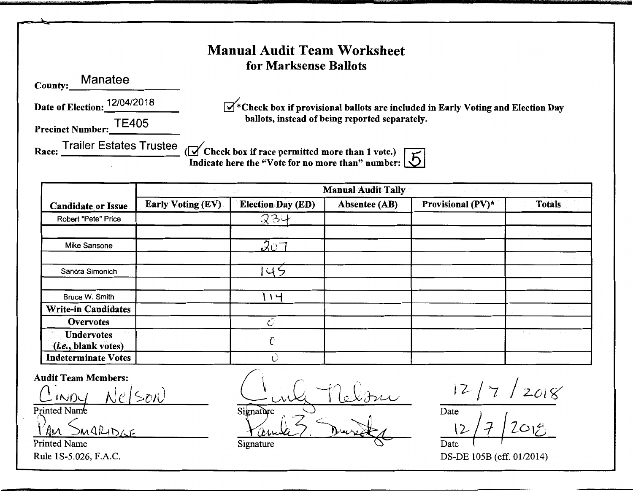#### Manual Audit Team Worksheet for Marksense Ballots

County: Manatee

Date of Election: 12/04/2018

 $\mathbb{Z}^*$ Check box if provisional ballots are included in Early Voting and Election Day ballots, instead of being reported separately.

Precinct Number: TE405

Race:  $\frac{1}{\sqrt{1-\frac{1}{n}}}$  . Trailer Estates Trustee ( $\sqrt{ }$  Check box if race permitted more than 1 vote.) Indicate here the "Vote for no more than" number:

| <b>Candidate or Issue</b>                         | <b>Early Voting (EV)</b> | <b>Election Day (ED)</b> | Absentee (AB) | Provisional (PV)* | <b>Totals</b> |
|---------------------------------------------------|--------------------------|--------------------------|---------------|-------------------|---------------|
| Robert "Pete" Price                               |                          | 234                      |               |                   |               |
|                                                   |                          |                          |               |                   |               |
| Mike Sansone                                      |                          | 201                      |               |                   |               |
|                                                   |                          |                          |               |                   |               |
| Sandra Simonich                                   |                          | 45                       |               |                   |               |
|                                                   |                          |                          |               |                   |               |
| Bruce W. Smith                                    |                          | $1 -$                    |               |                   |               |
| <b>Write-in Candidates</b>                        |                          |                          |               |                   |               |
| Overvotes                                         |                          | O                        |               |                   |               |
| <b>Undervotes</b><br>( <i>i.e.</i> , blank votes) |                          | Û                        |               |                   |               |
| <b>Indeterminate Votes</b>                        |                          |                          |               |                   |               |

Audit Team Members:  $inv_{1}$   $Nel$  son Printed Name

 $ALID$ 

Printed Name

 $C$ inle Melon Signature  $125$ <u>Yanda? Duire La</u>

-

 $12/7/2018$ 

Date  $\overline{\phantom{a}}$  $12/7/2018$ Date

Rule 1S-5.026, F.A.C. DS-DE 105B (eff. 01/2014)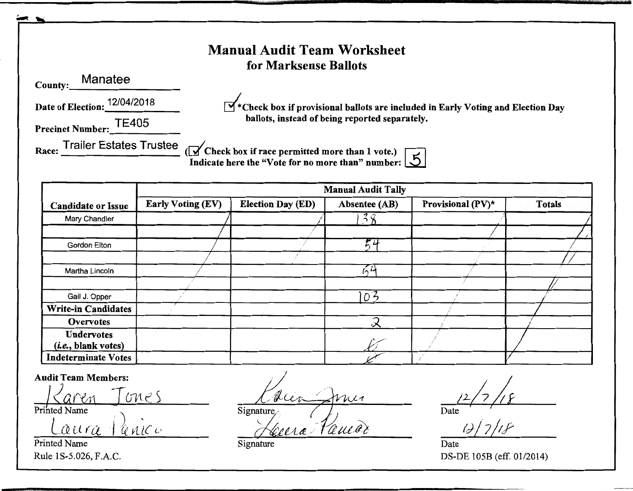|                                                                                                                                        |                          | <b>Manual Audit Team Worksheet</b><br>for Marksense Ballots                                                                                              |                                            |                   |               |  |  |
|----------------------------------------------------------------------------------------------------------------------------------------|--------------------------|----------------------------------------------------------------------------------------------------------------------------------------------------------|--------------------------------------------|-------------------|---------------|--|--|
| County:_Manatee                                                                                                                        |                          |                                                                                                                                                          |                                            |                   |               |  |  |
| Date of Election: 12/04/2018                                                                                                           |                          | $\blacktriangleright$ * Check box if provisional ballots are included in Early Voting and Election Day<br>ballots, instead of being reported separately. |                                            |                   |               |  |  |
| Precinct Number: TE405                                                                                                                 |                          |                                                                                                                                                          |                                            |                   |               |  |  |
| Race: Trailer Estates Trustee (V Check box if race permitted more than 1 vote.)<br>Indicate here the "Vote for no more than" number: 5 |                          |                                                                                                                                                          |                                            |                   |               |  |  |
|                                                                                                                                        |                          |                                                                                                                                                          |                                            |                   |               |  |  |
| <b>Candidate or Issue</b>                                                                                                              | <b>Early Voting (EV)</b> | <b>Election Day (ED)</b>                                                                                                                                 | <b>Manual Audit Tally</b><br>Absentee (AB) | Provisional (PV)* | <b>Totals</b> |  |  |
| Mary Chandler                                                                                                                          |                          |                                                                                                                                                          | 38                                         |                   |               |  |  |
|                                                                                                                                        |                          |                                                                                                                                                          |                                            |                   |               |  |  |
| Gordon Elton                                                                                                                           |                          |                                                                                                                                                          | 54                                         |                   |               |  |  |
|                                                                                                                                        |                          |                                                                                                                                                          |                                            |                   |               |  |  |
| Martha Lincoln                                                                                                                         |                          |                                                                                                                                                          | $\kappa$ it                                |                   |               |  |  |
| Gail J. Opper                                                                                                                          |                          |                                                                                                                                                          |                                            |                   |               |  |  |
|                                                                                                                                        |                          |                                                                                                                                                          | 103                                        |                   |               |  |  |
| <b>Write-in Candidates</b><br><b>Overvotes</b>                                                                                         |                          |                                                                                                                                                          | Ζ                                          |                   |               |  |  |
| <b>Undervotes</b><br>( <i>i.e.</i> , blank votes)                                                                                      |                          |                                                                                                                                                          |                                            |                   |               |  |  |

Audit Team Members:<br> **/**<br> *Caren* Tones Printed Name  $\frac{1}{2}$  .  $\frac{1}{2}$  . The  $\frac{1}{2}$  . The  $\frac{1}{2}$  . The  $\frac{1}{2}$  . The  $\frac{1}{2}$  . The  $\frac{1}{2}$ *LLQ.* U r (l J *lf. vU(* <sup>v</sup>

Printed Name Date

UU  $n_{u}$ Signature, (*J)*<br>Réelse *Reules* 

 $(2)/18$ 

Rule 1S-5.026, F.A.C. DS-DE 105B (eff. 01/2014)

Signature